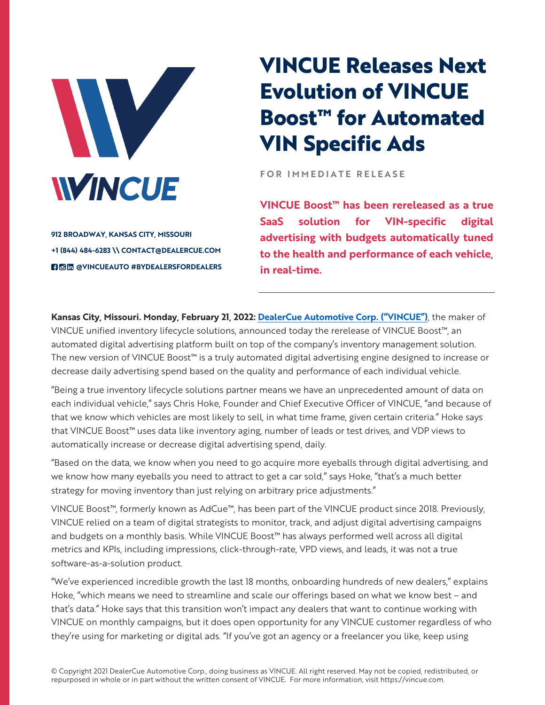

**912 BROADWAY, KANSAS CITY, MISSOURI +1 (844) 484-6283 \\ CONTACT@DEALERCUE.COM BOM** @VINCUEAUTO #BYDEALERSFORDEALERS

## **VINCUE Releases Next Evolution of VINCUE Boost™ for Automated VIN Specific Ads**

**FOR IMMEDIATE RELEASE** 

**VINCUE Boost™ has been rereleased as a true SaaS solution for VIN-specific digital advertising with budgets automatically tuned to the health and performance of each vehicle, in real-time.** 

**Kansas City, Missouri. Monday, February 21, 2022: DealerCue Automotive Corp. ("VINCUE")**, the maker of VINCUE unified inventory lifecycle solutions, announced today the rerelease of VINCUE Boost™, an automated digital advertising platform built on top of the company's inventory management solution. The new version of VINCUE Boost™ is a truly automated digital advertising engine designed to increase or decrease daily advertising spend based on the quality and performance of each individual vehicle.

"Being a true inventory lifecycle solutions partner means we have an unprecedented amount of data on each individual vehicle," says Chris Hoke, Founder and Chief Executive Officer of VINCUE, "and because of that we know which vehicles are most likely to sell, in what time frame, given certain criteria." Hoke says that VINCUE Boost<sup>™</sup> uses data like inventory aging, number of leads or test drives, and VDP views to automatically increase or decrease digital advertising spend, daily.

"Based on the data, we know when you need to go acquire more eyeballs through digital advertising, and we know how many eyeballs you need to attract to get a car sold," says Hoke, "that's a much better strategy for moving inventory than just relying on arbitrary price adjustments."

VINCUE Boost™, formerly known as AdCue™, has been part of the VINCUE product since 2018. Previously, VINCUE relied on a team of digital strategists to monitor, track, and adjust digital advertising campaigns and budgets on a monthly basis. While VINCUE Boost™ has always performed well across all digital metrics and KPIs, including impressions, click-through-rate, VPD views, and leads, it was not a true software-as-a-solution product.

"We've experienced incredible growth the last 18 months, onboarding hundreds of new dealers," explains Hoke, "which means we need to streamline and scale our offerings based on what we know best – and that's data." Hoke says that this transition won't impact any dealers that want to continue working with VINCUE on monthly campaigns, but it does open opportunity for any VINCUE customer regardless of who they're using for marketing or digital ads. "If you've got an agency or a freelancer you like, keep using